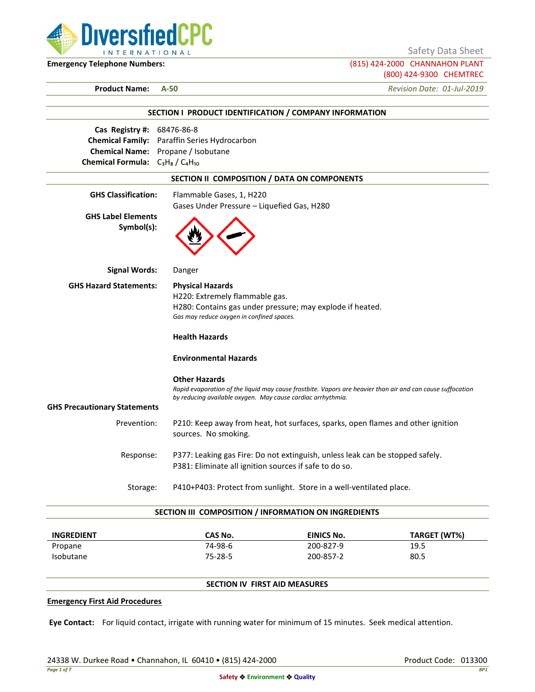

Safety Data Sheet

**Emergency Telephone Numbers:** (815) 424-2000 CHANNAHON PLANT (800) 424-9300 CHEMTREC

**Product Name: A-50** *Revision Date: 01-Jul-2019*

|                                             | SECTION I PRODUCT IDENTIFICATION / COMPANY INFORMATION                                                     |  |  |
|---------------------------------------------|------------------------------------------------------------------------------------------------------------|--|--|
| Cas Registry #: 68476-86-8                  |                                                                                                            |  |  |
|                                             | Chemical Family: Paraffin Series Hydrocarbon                                                               |  |  |
| Chemical Name: Propane / Isobutane          |                                                                                                            |  |  |
| <b>Chemical Formula:</b> $C_3H_8/C_4H_{10}$ |                                                                                                            |  |  |
|                                             | SECTION II COMPOSITION / DATA ON COMPONENTS                                                                |  |  |
| <b>GHS Classification:</b>                  | Flammable Gases, 1, H220                                                                                   |  |  |
|                                             | Gases Under Pressure - Liquefied Gas, H280                                                                 |  |  |
| <b>GHS Label Elements</b><br>Symbol(s):     |                                                                                                            |  |  |
| <b>Signal Words:</b>                        | Danger                                                                                                     |  |  |
| <b>GHS Hazard Statements:</b>               | <b>Physical Hazards</b>                                                                                    |  |  |
|                                             | H220: Extremely flammable gas.                                                                             |  |  |
|                                             | H280: Contains gas under pressure; may explode if heated.                                                  |  |  |
|                                             | Gas may reduce oxygen in confined spaces.                                                                  |  |  |
|                                             | <b>Health Hazards</b>                                                                                      |  |  |
|                                             | <b>Environmental Hazards</b>                                                                               |  |  |
|                                             | <b>Other Hazards</b>                                                                                       |  |  |
|                                             | Rapid evaporation of the liquid may cause frostbite. Vapors are heavier than air and can cause suffocation |  |  |
|                                             | by reducing available oxygen. May cause cardiac arrhythmia.                                                |  |  |
| <b>GHS Precautionary Statements</b>         |                                                                                                            |  |  |
| Prevention:                                 | P210: Keep away from heat, hot surfaces, sparks, open flames and other ignition                            |  |  |
|                                             | sources. No smoking.                                                                                       |  |  |
| Response:                                   | P377: Leaking gas Fire: Do not extinguish, unless leak can be stopped safely.                              |  |  |
|                                             | P381: Eliminate all ignition sources if safe to do so.                                                     |  |  |
|                                             | P410+P403: Protect from sunlight. Store in a well-ventilated place.                                        |  |  |

| <b>INGREDIENT</b> | CAS No.       | EINICS No. | TARGET (WT%) |
|-------------------|---------------|------------|--------------|
| Propane           | 74-98-6       | 200-827-9  | 19.5         |
| <b>Isobutane</b>  | $75 - 28 - 5$ | 200-857-2  | 80.5         |

# **SECTION IV FIRST AID MEASURES**

## **Emergency First Aid Procedures**

**Eye Contact:** For liquid contact, irrigate with running water for minimum of 15 minutes. Seek medical attention.

24338 W. Durkee Road • Channahon, IL 60410 • (815) 424-2000 Product Code: 013300 Product Code: 013300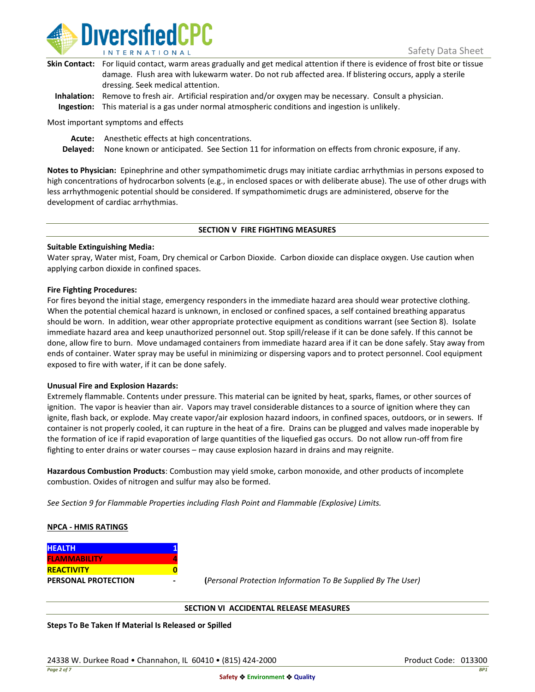

| Skin Contact: For liquid contact, warm areas gradually and get medical attention if there is evidence of frost bite or tissue |
|-------------------------------------------------------------------------------------------------------------------------------|
| damage. Flush area with lukewarm water. Do not rub affected area. If blistering occurs, apply a sterile                       |
| dressing. Seek medical attention.                                                                                             |
|                                                                                                                               |

**Inhalation:** Remove to fresh air. Artificial respiration and/or oxygen may be necessary. Consult a physician. **Ingestion:** This material is a gas under normal atmospheric conditions and ingestion is unlikely.

Most important symptoms and effects

**Acute:** Anesthetic effects at high concentrations.

**Delayed:** None known or anticipated. See Section 11 for information on effects from chronic exposure, if any.

**Notes to Physician:** Epinephrine and other sympathomimetic drugs may initiate cardiac arrhythmias in persons exposed to high concentrations of hydrocarbon solvents (e.g., in enclosed spaces or with deliberate abuse). The use of other drugs with less arrhythmogenic potential should be considered. If sympathomimetic drugs are administered, observe for the development of cardiac arrhythmias.

### **SECTION V FIRE FIGHTING MEASURES**

### **Suitable Extinguishing Media:**

Water spray, Water mist, Foam, Dry chemical or Carbon Dioxide. Carbon dioxide can displace oxygen. Use caution when applying carbon dioxide in confined spaces.

### **Fire Fighting Procedures:**

For fires beyond the initial stage, emergency responders in the immediate hazard area should wear protective clothing. When the potential chemical hazard is unknown, in enclosed or confined spaces, a self contained breathing apparatus should be worn. In addition, wear other appropriate protective equipment as conditions warrant (see Section 8). Isolate immediate hazard area and keep unauthorized personnel out. Stop spill/release if it can be done safely. If this cannot be done, allow fire to burn. Move undamaged containers from immediate hazard area if it can be done safely. Stay away from ends of container. Water spray may be useful in minimizing or dispersing vapors and to protect personnel. Cool equipment exposed to fire with water, if it can be done safely.

### **Unusual Fire and Explosion Hazards:**

Extremely flammable. Contents under pressure. This material can be ignited by heat, sparks, flames, or other sources of ignition. The vapor is heavier than air. Vapors may travel considerable distances to a source of ignition where they can ignite, flash back, or explode. May create vapor/air explosion hazard indoors, in confined spaces, outdoors, or in sewers. If container is not properly cooled, it can rupture in the heat of a fire. Drains can be plugged and valves made inoperable by the formation of ice if rapid evaporation of large quantities of the liquefied gas occurs. Do not allow run-off from fire fighting to enter drains or water courses – may cause explosion hazard in drains and may reignite.

**Hazardous Combustion Products**: Combustion may yield smoke, carbon monoxide, and other products of incomplete combustion. Oxides of nitrogen and sulfur may also be formed.

*See Section 9 for Flammable Properties including Flash Point and Flammable (Explosive) Limits.*

### **NPCA - HMIS RATINGS**

| <b>HEALTH</b>              |  |
|----------------------------|--|
| <b>FLAMMABILITY</b>        |  |
| <b>REACTIVITY</b>          |  |
| <b>PERSONAL PROTECTION</b> |  |

**PERSONAL PROTECTION - (***Personal Protection Information To Be Supplied By The User)*

### **SECTION VI ACCIDENTAL RELEASE MEASURES**

**Steps To Be Taken If Material Is Released or Spilled**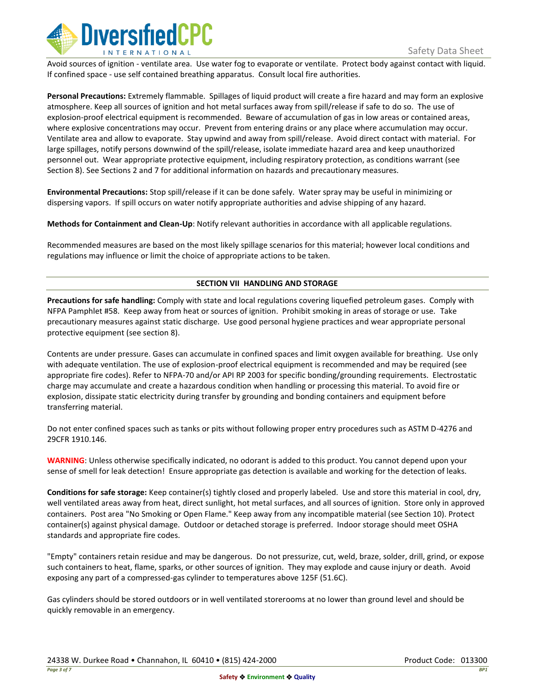

Avoid sources of ignition - ventilate area. Use water fog to evaporate or ventilate. Protect body against contact with liquid. If confined space - use self contained breathing apparatus. Consult local fire authorities.

**Personal Precautions:** Extremely flammable. Spillages of liquid product will create a fire hazard and may form an explosive atmosphere. Keep all sources of ignition and hot metal surfaces away from spill/release if safe to do so. The use of explosion-proof electrical equipment is recommended. Beware of accumulation of gas in low areas or contained areas, where explosive concentrations may occur. Prevent from entering drains or any place where accumulation may occur. Ventilate area and allow to evaporate. Stay upwind and away from spill/release. Avoid direct contact with material. For large spillages, notify persons downwind of the spill/release, isolate immediate hazard area and keep unauthorized personnel out. Wear appropriate protective equipment, including respiratory protection, as conditions warrant (see Section 8). See Sections 2 and 7 for additional information on hazards and precautionary measures.

**Environmental Precautions:** Stop spill/release if it can be done safely. Water spray may be useful in minimizing or dispersing vapors. If spill occurs on water notify appropriate authorities and advise shipping of any hazard.

**Methods for Containment and Clean-Up**: Notify relevant authorities in accordance with all applicable regulations.

Recommended measures are based on the most likely spillage scenarios for this material; however local conditions and regulations may influence or limit the choice of appropriate actions to be taken.

# **SECTION VII HANDLING AND STORAGE**

**Precautions for safe handling:** Comply with state and local regulations covering liquefied petroleum gases. Comply with NFPA Pamphlet #58. Keep away from heat or sources of ignition. Prohibit smoking in areas of storage or use. Take precautionary measures against static discharge. Use good personal hygiene practices and wear appropriate personal protective equipment (see section 8).

Contents are under pressure. Gases can accumulate in confined spaces and limit oxygen available for breathing. Use only with adequate ventilation. The use of explosion-proof electrical equipment is recommended and may be required (see appropriate fire codes). Refer to NFPA-70 and/or API RP 2003 for specific bonding/grounding requirements. Electrostatic charge may accumulate and create a hazardous condition when handling or processing this material. To avoid fire or explosion, dissipate static electricity during transfer by grounding and bonding containers and equipment before transferring material.

Do not enter confined spaces such as tanks or pits without following proper entry procedures such as ASTM D-4276 and 29CFR 1910.146.

**WARNING**: Unless otherwise specifically indicated, no odorant is added to this product. You cannot depend upon your sense of smell for leak detection! Ensure appropriate gas detection is available and working for the detection of leaks.

**Conditions for safe storage:** Keep container(s) tightly closed and properly labeled. Use and store this material in cool, dry, well ventilated areas away from heat, direct sunlight, hot metal surfaces, and all sources of ignition. Store only in approved containers. Post area "No Smoking or Open Flame." Keep away from any incompatible material (see Section 10). Protect container(s) against physical damage. Outdoor or detached storage is preferred. Indoor storage should meet OSHA standards and appropriate fire codes.

"Empty" containers retain residue and may be dangerous. Do not pressurize, cut, weld, braze, solder, drill, grind, or expose such containers to heat, flame, sparks, or other sources of ignition. They may explode and cause injury or death. Avoid exposing any part of a compressed-gas cylinder to temperatures above 125F (51.6C).

Gas cylinders should be stored outdoors or in well ventilated storerooms at no lower than ground level and should be quickly removable in an emergency.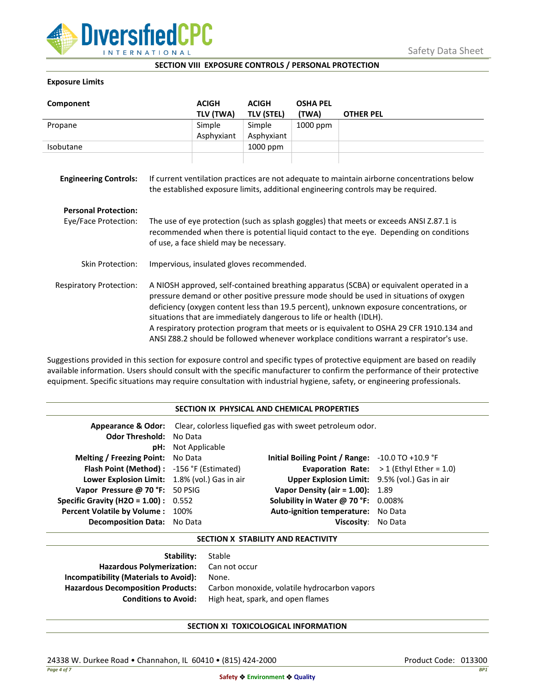

### **SECTION VIII EXPOSURE CONTROLS / PERSONAL PROTECTION**

### **Exposure Limits**

| Component                      |                                                                                                                                                                                                                                                                                                                                                                                                                                                                                                                                            | <b>ACIGH</b><br>TLV (TWA) | <b>ACIGH</b><br><b>TLV (STEL)</b> | <b>OSHA PEL</b><br>(TWA) | <b>OTHER PEL</b> |
|--------------------------------|--------------------------------------------------------------------------------------------------------------------------------------------------------------------------------------------------------------------------------------------------------------------------------------------------------------------------------------------------------------------------------------------------------------------------------------------------------------------------------------------------------------------------------------------|---------------------------|-----------------------------------|--------------------------|------------------|
| Propane                        |                                                                                                                                                                                                                                                                                                                                                                                                                                                                                                                                            | Simple                    | Simple                            | 1000 ppm                 |                  |
|                                |                                                                                                                                                                                                                                                                                                                                                                                                                                                                                                                                            | Asphyxiant                | Asphyxiant                        |                          |                  |
| Isobutane                      |                                                                                                                                                                                                                                                                                                                                                                                                                                                                                                                                            |                           | 1000 ppm                          |                          |                  |
| <b>Engineering Controls:</b>   | If current ventilation practices are not adequate to maintain airborne concentrations below<br>the established exposure limits, additional engineering controls may be required.                                                                                                                                                                                                                                                                                                                                                           |                           |                                   |                          |                  |
| <b>Personal Protection:</b>    |                                                                                                                                                                                                                                                                                                                                                                                                                                                                                                                                            |                           |                                   |                          |                  |
| Eye/Face Protection:           | The use of eye protection (such as splash goggles) that meets or exceeds ANSI Z.87.1 is<br>recommended when there is potential liquid contact to the eye. Depending on conditions<br>of use, a face shield may be necessary.                                                                                                                                                                                                                                                                                                               |                           |                                   |                          |                  |
| Skin Protection:               | Impervious, insulated gloves recommended.                                                                                                                                                                                                                                                                                                                                                                                                                                                                                                  |                           |                                   |                          |                  |
| <b>Respiratory Protection:</b> | A NIOSH approved, self-contained breathing apparatus (SCBA) or equivalent operated in a<br>pressure demand or other positive pressure mode should be used in situations of oxygen<br>deficiency (oxygen content less than 19.5 percent), unknown exposure concentrations, or<br>situations that are immediately dangerous to life or health (IDLH).<br>A respiratory protection program that meets or is equivalent to OSHA 29 CFR 1910.134 and<br>ANSI Z88.2 should be followed whenever workplace conditions warrant a respirator's use. |                           |                                   |                          |                  |

Suggestions provided in this section for exposure control and specific types of protective equipment are based on readily available information. Users should consult with the specific manufacturer to confirm the performance of their protective equipment. Specific situations may require consultation with industrial hygiene, safety, or engineering professionals.

## **SECTION IX PHYSICAL AND CHEMICAL PROPERTIES**

| <b>Odor Threshold: No Data</b>                | <b>pH:</b> Not Applicable | <b>Appearance &amp; Odor:</b> Clear, colorless liquefied gas with sweet petroleum odor. |                                                   |
|-----------------------------------------------|---------------------------|-----------------------------------------------------------------------------------------|---------------------------------------------------|
| <b>Melting / Freezing Point:</b> No Data      |                           | Initial Boiling Point / Range: $-10.0$ TO $+10.9$ °F                                    |                                                   |
| Flash Point (Method): -156 °F (Estimated)     |                           |                                                                                         | <b>Evaporation Rate:</b> $>1$ (Ethyl Ether = 1.0) |
| Lower Explosion Limit: 1.8% (vol.) Gas in air |                           | Upper Explosion Limit: 9.5% (vol.) Gas in air                                           |                                                   |
| Vapor Pressure @ 70 °F: 50 PSIG               |                           | Vapor Density (air = $1.00$ ): $1.89$                                                   |                                                   |
| <b>Specific Gravity (H2O = 1.00):</b> $0.552$ |                           | Solubility in Water @ 70 °F: 0.008%                                                     |                                                   |
| Percent Volatile by Volume: 100%              |                           | Auto-ignition temperature: No Data                                                      |                                                   |
| <b>Decomposition Data:</b> No Data            |                           | Viscosity: No Data                                                                      |                                                   |

## **SECTION X STABILITY AND REACTIVITY**

| Stable                                       |
|----------------------------------------------|
| Hazardous Polymerization: Can not occur      |
| None.                                        |
| Carbon monoxide, volatile hydrocarbon vapors |
| High heat, spark, and open flames            |
|                                              |

# **SECTION XI TOXICOLOGICAL INFORMATION**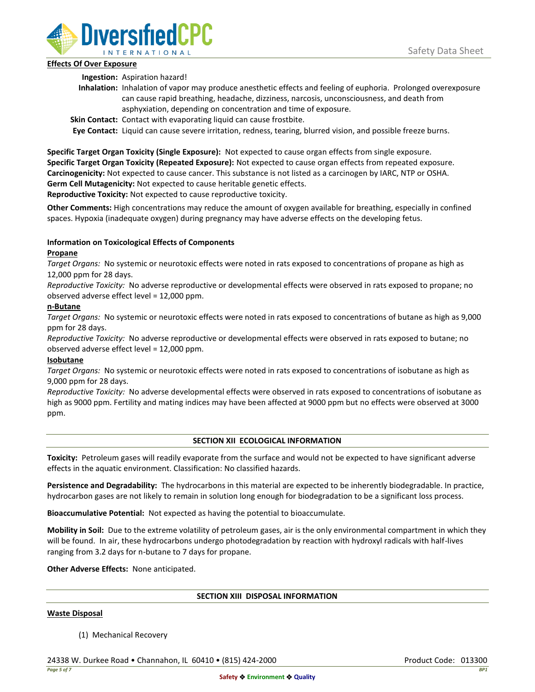

## **Effects Of Over Exposure**

**Ingestion:** Aspiration hazard!

- **Inhalation:** Inhalation of vapor may produce anesthetic effects and feeling of euphoria. Prolonged overexposure can cause rapid breathing, headache, dizziness, narcosis, unconsciousness, and death from asphyxiation, depending on concentration and time of exposure.
- **Skin Contact:** Contact with evaporating liquid can cause frostbite.

**Eye Contact:** Liquid can cause severe irritation, redness, tearing, blurred vision, and possible freeze burns.

**Specific Target Organ Toxicity (Single Exposure):** Not expected to cause organ effects from single exposure. **Specific Target Organ Toxicity (Repeated Exposure):** Not expected to cause organ effects from repeated exposure. **Carcinogenicity:** Not expected to cause cancer. This substance is not listed as a carcinogen by IARC, NTP or OSHA. **Germ Cell Mutagenicity:** Not expected to cause heritable genetic effects.

**Reproductive Toxicity:** Not expected to cause reproductive toxicity.

**Other Comments:** High concentrations may reduce the amount of oxygen available for breathing, especially in confined spaces. Hypoxia (inadequate oxygen) during pregnancy may have adverse effects on the developing fetus.

# **Information on Toxicological Effects of Components**

# **Propane**

*Target Organs:* No systemic or neurotoxic effects were noted in rats exposed to concentrations of propane as high as 12,000 ppm for 28 days.

*Reproductive Toxicity:* No adverse reproductive or developmental effects were observed in rats exposed to propane; no observed adverse effect level = 12,000 ppm.

# **n-Butane**

*Target Organs:* No systemic or neurotoxic effects were noted in rats exposed to concentrations of butane as high as 9,000 ppm for 28 days.

*Reproductive Toxicity:* No adverse reproductive or developmental effects were observed in rats exposed to butane; no observed adverse effect level = 12,000 ppm.

# **Isobutane**

*Target Organs:* No systemic or neurotoxic effects were noted in rats exposed to concentrations of isobutane as high as 9,000 ppm for 28 days.

*Reproductive Toxicity:* No adverse developmental effects were observed in rats exposed to concentrations of isobutane as high as 9000 ppm. Fertility and mating indices may have been affected at 9000 ppm but no effects were observed at 3000 ppm.

# **SECTION XII ECOLOGICAL INFORMATION**

**Toxicity:** Petroleum gases will readily evaporate from the surface and would not be expected to have significant adverse effects in the aquatic environment. Classification: No classified hazards.

**Persistence and Degradability:** The hydrocarbons in this material are expected to be inherently biodegradable. In practice, hydrocarbon gases are not likely to remain in solution long enough for biodegradation to be a significant loss process.

**Bioaccumulative Potential:** Not expected as having the potential to bioaccumulate.

**Mobility in Soil:** Due to the extreme volatility of petroleum gases, air is the only environmental compartment in which they will be found. In air, these hydrocarbons undergo photodegradation by reaction with hydroxyl radicals with half-lives ranging from 3.2 days for n-butane to 7 days for propane.

**Other Adverse Effects:** None anticipated.

### **SECTION XIII DISPOSAL INFORMATION**

### **Waste Disposal**

(1) Mechanical Recovery

24338 W. Durkee Road • Channahon, IL 60410 • (815) 424-2000 Product Code: 013300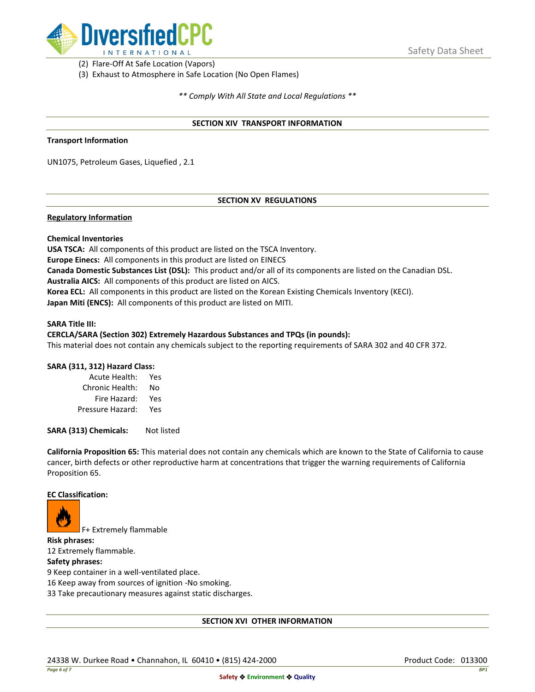

(2) Flare-Off At Safe Location (Vapors)

(3) Exhaust to Atmosphere in Safe Location (No Open Flames)

*\*\* Comply With All State and Local Regulations \*\**

### **SECTION XIV TRANSPORT INFORMATION**

#### **Transport Information**

UN1075, Petroleum Gases, Liquefied , 2.1

### **SECTION XV REGULATIONS**

### **Regulatory Information**

### **Chemical Inventories**

**USA TSCA:** All components of this product are listed on the TSCA Inventory. **Europe Einecs:** All components in this product are listed on EINECS **Canada Domestic Substances List (DSL):** This product and/or all of its components are listed on the Canadian DSL. **Australia AICS:** All components of this product are listed on AICS. **Korea ECL:** All components in this product are listed on the Korean Existing Chemicals Inventory (KECI). **Japan Miti (ENCS):** All components of this product are listed on MITI.

#### **SARA Title III:**

#### **CERCLA/SARA (Section 302) Extremely Hazardous Substances and TPQs (in pounds):**

This material does not contain any chemicals subject to the reporting requirements of SARA 302 and 40 CFR 372.

### **SARA (311, 312) Hazard Class:**

| Acute Health:    | Yes |
|------------------|-----|
| Chronic Health:  | No  |
| Fire Hazard:     | Yes |
| Pressure Hazard: | Yes |

**SARA (313) Chemicals:** Not listed

**California Proposition 65:** This material does not contain any chemicals which are known to the State of California to cause cancer, birth defects or other reproductive harm at concentrations that trigger the warning requirements of California Proposition 65.

#### **EC Classification:**



F+ Extremely flammable

**Risk phrases:** 12 Extremely flammable.

## **Safety phrases:**

9 Keep container in a well-ventilated place.

16 Keep away from sources of ignition -No smoking.

33 Take precautionary measures against static discharges.

### **SECTION XVI OTHER INFORMATION**